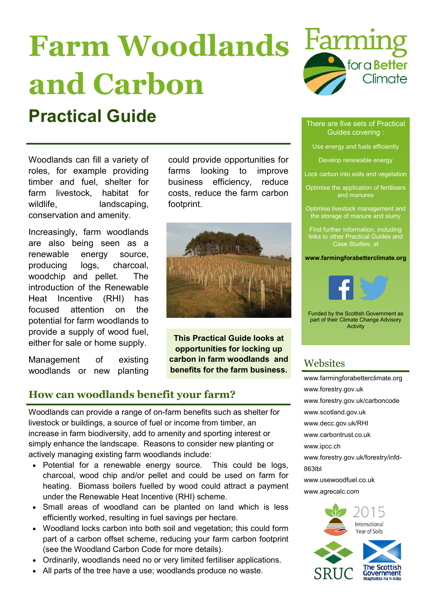# **Farm Woodlands and Carbon**

## **Practical Guide** There are five sets of Practical

Woodlands can fill a variety of roles, for example providing timber and fuel, shelter for farm livestock, habitat for wildlife, landscaping, conservation and amenity.

Increasingly, farm woodlands are also being seen as a renewable energy source, producing logs, charcoal, woodchip and pellet. The introduction of the Renewable Heat Incentive (RHI) has focused attention on the potential for farm woodlands to provide a supply of wood fuel, either for sale or home supply.

Management of existing woodlands or new planting could provide opportunities for farms looking to improve business efficiency, reduce costs, reduce the farm carbon footprint.



**This Practical Guide looks at opportunities for locking up carbon in farm woodlands and benefits for the farm business.**

### **How can woodlands benefit your farm?**

Woodlands can provide a range of on-farm benefits such as shelter for livestock or buildings, a source of fuel or income from timber, an increase in farm biodiversity, add to amenity and sporting interest or simply enhance the landscape. Reasons to consider new planting or actively managing existing farm woodlands include:

- Potential for a renewable energy source. This could be logs, charcoal, wood chip and/or pellet and could be used on farm for heating. Biomass boilers fuelled by wood could attract a payment under the Renewable Heat Incentive (RHI) scheme.
- Small areas of woodland can be planted on land which is less efficiently worked, resulting in fuel savings per hectare.
- Woodland locks carbon into both soil and vegetation; this could form part of a carbon offset scheme, reducing your farm carbon footprint (see the Woodland Carbon Code for more details).
- Ordinarily, woodlands need no or very limited fertiliser applications.
- All parts of the tree have a use; woodlands produce no waste.



### Guides covering :

Use energy and fuels efficiently

Develop renewable energy

Lock carbon into soils and vegetation

Optimise the application of fertilisers and manures

Optimise livestock management and the storage of manure and slurry

Find further information, including links to other Practical Guides and Case Studies, at

**www.farmingforabetterclimate.org**



Funded by the Scottish Government as part of their Climate Change Advisory Activity

### Websites

[www.farmingforabetterclimate.org](http://www.farmingforabetterclimate.org) [www.forestry.gov.uk](http://www.forestry.gov.uk/website/fchomepages.nsf/hp/Scotland) [www.forestry.gov.uk/carboncode](http://www.forestry.gov.uk/carboncode) [www.scotland.gov.uk](http://www.scotland.gov.uk/Topics/farmingrural) [www.decc.gov.uk/RHI](http://www.decc.gov.uk/RHI) [www.carbontrust.co.uk](http://www.carbontrust.co.uk) [www.ipcc.ch](http://www.ipcc.ch) [www.forestry.gov.uk/forestry/infd](http://www.forestry.gov.uk/forestry/infd-863lbl)-[863lbl](http://www.forestry.gov.uk/forestry/infd-863lbl) [www.usewoodfuel.co.uk](http://www.usewoodfuel.co.uk/) [www.agrecalc.com](http://www.agrecalc.com/)